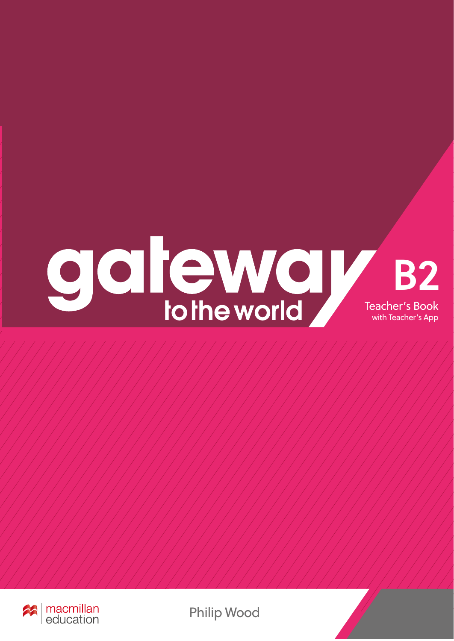



Philip Wood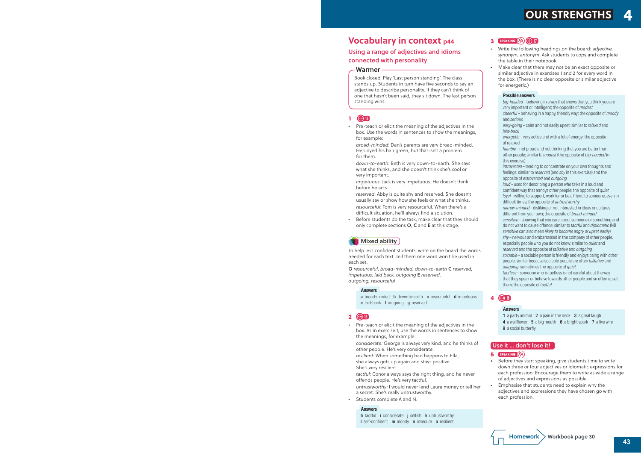# **Vocabulary in context p44**

#### Using a range of adjectives and idioms connected with personality

Book closed. Play 'Last person standing'. The class stands up. Students in turn have five seconds to say an adjective to describe personality. If they can't think of one that hasn't been said, they sit down. The last person standing wins.

#### Warmer

#### **1 15**

*•* Pre-teach or elicit the meaning of the adjectives in the box. Use the words in sentences to show the meanings, for example:

*broad-minded*: Dan's parents are very broad-minded. He's dyed his hair green, but that isn't a problem for them.

*down-to-earth*: Beth is very down-to-earth. She says what she thinks, and she doesn't think she's cool or very important.

*impetuous*: Jack is very impetuous. He doesn't think before he acts.

- *reserved*: Abby is quite shy and reserved. She doesn't usually say or show how she feels or what she thinks. *resourceful*: Tom is very resourceful. When there's a difficult situation, he'll always find a solution.
- *•* Before students do the task, make clear that they should only complete sections O, C and E at this stage.

# **Mixed ability**

To help less confident students, write on the board the words needed for each text. Tell them one word won't be used in each set.

O *resourceful, broad-minded, down-to-earth* C *reserved, impetuous, laid back, outgoing* E *reserved, outgoing, resourceful*

#### **Answers**

a broad-minded **b** down-to-earth **c** resourceful **d** impetuous e laid-back f outgoing g reserved

#### **2 16**

*•* Pre-teach or elicit the meaning of the adjectives in the box. As in exercise 1, use the words in sentences to show the meanings, for example:

*considerate:* George is always very kind, and he thinks of other people. He's very considerate.

*resilient:* When something bad happens to Ella,

she always gets up again and stays positive.

She's very resilient.

*tactful:* Conor always says the right thing, and he never offends people. He's very tactful.

*untrustworthy:* I would never lend Laura money or tell her a secret. She's really untrustworthy.

*•* Students complete A and N.

#### **Answers**

h tactful *i* considerate *j* selfish **k** untrustworthy I self-confident **m** moody **n** insecure **o** resilient

# **OUR STRENGTHS**

#### **3 speaking 17**

- 1 a party animal 2 a pain in the neck 3 a great laugh
- 4 a wallflower 5 a big mouth 6 a bright spark 7 a live wire
- 8 a social butterfly
- *•* Write the following headings on the board: *adjective, synonym, antonym.* Ask students to copy and complete the table in their notebook.
- *•* Make clear that there may not be an exact opposite or similar adjective in exercises 1 and 2 for every word in the box. (There is no clear opposite or similar adjective for *energetic*.)

*big-headed* – behaving in a way that shows that you think you are very important or intelligent; the opposite of *modest cheerful* – behaving in a happy, friendly way; the opposite of *moody*  and *serious easy-going* – calm and not easily upset; similar to *relaxed* and *laid-back*

*energetic* – very active and with a lot of energy; the opposite of relaxed

*humble* – not proud and not thinking that you are better than other people; similar to *modest* (the opposite of *big-headed* in this exercise)

*introverted* – tending to concentrate on your own thoughts and feelings; similar to *reserved* (and *shy* in this exercise) and the opposite of *extroverted* and *outgoing*

*loud* – used for describing a person who talks in a loud and confident way that annoys other people; the opposite of *quiet loyal* – willing to support, work for or be a friend to someone, even in difficult times; the opposite of *untrustworthy*

*narrow-minded* – disliking or not interested in ideas or cultures different from your own; the opposite of *broad-minded sensitive* – showing that you care about someone or something and

do not want to cause offence; similar to *tactful* and *diplomatic* (NB *sensitive* can also mean *likely to become angry or upset easily*) *shy* – nervous and embarrassed in the company of other people, especially people who you do not know; similar to *quiet* and *reserved* and the opposite of *talkative* and *outgoing*

*sociable* – a sociable person is friendly and enjoys being with other people; similar because sociable people are often *talkative* and *outgoing*; sometimes the opposite of *quiet*

*tactless* – someone who is tactless is not careful about the way that they speak or behave towards other people and so often upset them; the opposite of *tactful*

#### **Possible answers**

#### **4 18**

#### **Answers**

#### Use it … don't lose it!

#### **5 speaking**

- *•* Before they start speaking, give students time to write down three or four adjectives or idiomatic expressions for each profession. Encourage them to write as wide a range of adjectives and expressions as possible.
- *•* Emphasise that students need to explain why the adjectives and expressions they have chosen go with each profession.

 $Homework$  Workbook page 30

43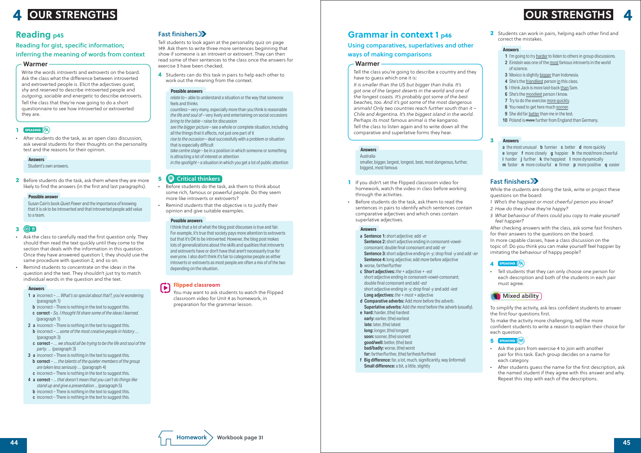**2** Students can work in pairs, helping each other find and correct the mistakes.

#### **Answers**

- 1 I'm going to try harder to listen to others in group discussions.
- 2 Einstein was one of the most famous introverts in the world of science.
- 3 Mexico is slightly bigger than Indonesia.
- 4 She's the friendliest person in this class.
- 5 I think Jack is more laid-back than Sam.
- 6 She's the moodiest person I know.
- 7 Try to do the exercise more quickly.
- 8 You need to get here much sooner.
- 9 She did far better than me in the test.
- 10 Poland is more further from England than Germany.

While the students are doing the task, write or project these questions on the board:

- *1 Who's the happiest or most cheerful person you know?*
- *2 How do they show they're happy?*
- *3 What behaviour of theirs could you copy to make yourself feel happier?*

After checking answers with the class, ask some fast finishers for their answers to the questions on the board.

In more capable classes, have a class discussion on the topic of: Do you think you can make yourself feel happier by imitating the behaviour of happy people?

#### **4 speaking**

#### **Answers 3**

a the most unusual **b** funnier **c** better **d** more quickly e longer **f** more closely **q** happier **h** the most/more cheerful i harder *j* further **k** the happiest I more dynamically m faster **n** more colourful **o** firmer **p** more positive **q** easier

### Fast finishers

• Tell students that they can only choose one person for each description and both of the students in each pair must agree.



- a Sentence 1: short adjective; add *-er* Sentence 2: short adjective ending in consonant-vowelconsonant; double final consonant and add *-er* Sentence 3: short adjective ending in *-y*; drop final *-y* and add *-ier* Sentence 4: long adjective; add *more* before adjective
- **b** worse, farther/further
- c Short adjectives: *the* + adjective + -*est* short adjective ending in consonant-vowel-consonant; double final consonant and add -*est* short adjective ending in -*y*; drop final -*y* and add -*iest* Long adjectives: *the* + *most* + adjective
- d Comparative adverbs: Add *more* before the adverb. Superlative adverbs: Add *the most* before the adverb (usually).
- e hard: harder, (the) hardest early: earlier, (the) earliest late: later, (the) latest long: longer, (the) longest soon: sooner, (the) soonest good/well: better, (the) best
- bad/badly: worse, (the) worst
- far: farther/further, (the) farthest/furthest
- f Big difference: far, a lot, much, significantly, way (informal) Small difference: a bit, a little, slightly



To simplify the activity, ask less confident students to answer the first four questions first.



To make the activity more challenging, tell the more confident students to write a reason to explain their choice for each question.

#### **5 speaking**

- Ask the pairs from exercise 4 to join with another pair for this task. Each group decides on a name for each category.
- *•* After students guess the name for the first description, ask the named student if they agree with this answer and why. Repeat this step with each of the descriptions.

# **Grammar in context 1 p46**

Using comparatives, superlatives and other ways of making comparisons

#### **Warmer**

Tell the class you're going to describe a country and they have to guess which one it is:

*see the bigger picture* – see a whole or complete situation, including all the things that it affects, not just one part of it

*It is smaller than the US but bigger than India. It's got one of the largest deserts in the world and one of the longest coasts. It's probably got some of the best beaches, too. And it's got some of the most dangerous animals! Only two countries reach further south than it – Chile and Argentina. It's the biggest island in the world. Perhaps its most famous animal is the kangaroo.* Tell the class to listen again and to write down all the

comparative and superlative forms they hear.

Australia smaller, bigger, largest, longest, best, most dangerous, further, biggest, most famous

#### **Answers**

- **1** If you didn't set the Flipped classroom video for homework, watch the video in class before working through the activities.
- *•* Before students do the task, ask them to read the sentences in pairs to identify which sentences contain comparative adjectives and which ones contain superlative adjectives.

#### **Flipped classroom** Œ

#### **Answers**

## <u>A</u> OUR STRENGTHS A RESERVED BY A RESERVED BY A RESERVED BY A RESERVED BY A RESERVED BY A RESERVED BY A RESERVED BY A RESERVED BY A RESERVED BY A RESERVED BY A RESERVED BY A RESERVED BY A RESERVED BY A RESERVED BY A RESERV **OUR STRENGTHS OUR STRENGTHS**

Tell students to look again at the personality quiz on page 149. Ask them to write three more sentences beginning that show if someone is an introvert or extrovert. They can then read some of their sentences to the class once the answers for exercise 3 have been checked.

**4** Students can do this task in pairs to help each other to work out the meaning from the context.

*relate to* – able to understand a situation or the way that someone feels and thinks

*countless* – very many, especially more than you think is reasonable *the life and soul of* – very lively and entertaining on social occasions *bring to the table* – raise for discussion

*rise to the occasion* – deal successfully with a problem or situation that is especially difficult

*take centre stage* – be in a position in which someone or something is attracting a lot of interest or attention

*in the spotlight* – a situation in which you get a lot of public attention

#### **Possible answers**

## **5** Critical thinkers

- *•* Before students do the task, ask them to think about some rich, famous or powerful people. Do they seem more like introverts or extroverts?
- *•* Remind students that the objective is to justify their opinion and give suitable examples.

I think that a lot of what the blog post discusses is true and fair. For example, it's true that society pays more attention to extroverts but that it's OK to be introverted. However, the blog post makes lots of generalizations about the skills and qualities that introverts and extroverts have or don't have that aren't necessarily true for everyone. I also don't think it's fair to categorise people as either introverts or extroverts as most people are often a mix of of the two depending on the situation.

#### **Possible answers**

You may want to ask students to watch the Flipped classroom video for Unit 4 as homework, in preparation for the grammar lesson.

# **Reading p45**

#### Reading for gist, specific information; inferring the meaning of words from context

Write the words *introverts* and *extroverts* on the board. Ask the class what the difference between introverted and extroverted people is. Elicit the adjectives *quiet, shy* and *reserved* to describe introverted people and *outgoing, sociable* and *energetic* to describe extroverts. Tell the class that they're now going to do a short questionnaire to see how introverted or extroverted they are.

#### Warmer

### **1 speaking**

• After students do the task, as an open class discussion, ask several students for their thoughts on the personality test and the reasons for their opinion.

Student's own answers.

**Answers**

**2** Before students do the task, ask them where they are more likely to find the answers (in the first and last paragraphs).

Susan Cain's book *Quiet Power* and the importance of knowing that it is ok to be introverted and that introverted people add value to a team.

#### **Possible answer**

#### **3 19**

- *•* Ask the class to carefully read the first question only. They should then read the text quickly until they come to the section that deals with the information in this question. Once they have answered question 1, they should use the same procedure with question 2, and so on.
- *•* Remind students to concentrate on the ideas in the question and the text. They shouldn't just try to match individual words in the question and the text.

- 1 a incorrect … *What's so special about that?, you're wondering.*  (paragraph 1)
- **b** incorrect There is nothing in the text to suggest this.
- c correct *So, I thought I'd share some of the ideas I learned.* (paragraph 1)
- 2 **a** incorrect There is nothing in the text to suggest this.
- b incorrect ... *some of the most creative people in history …*  (paragraph 3)
- c correct *… we should all be trying to be the life and soul of the party. …* (paragraph 3)
- 3 **a** incorrect There is nothing in the text to suggest this.
- b correct … *the talents of the quieter members of the group are taken less seriously …* (paragraph 4)
- c incorrect There is nothing in the text to suggest this.
- 4 a correct ... *that doesn't mean that you can't do things like stand up and give a presentation* ... (paragraph 5)
- **b** incorrect There is nothing in the text to suggest this.
- c incorrect There is nothing in the text to suggest this.

## Fast finishers >>

#### **Answers**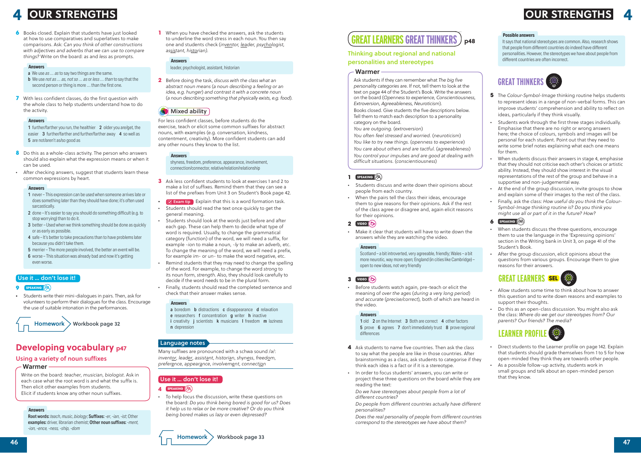It says that national stereotypes are common. Also, research shows that people from different countries do indeed have different personalities. However, the stereotypes we have about people from different countries are often incorrect.

#### **Possible answers**

# **GREAT THINKERS**



- **5** The *Colour-Symbol-Image* thinking routine helps students to represent ideas in a range of non-verbal forms. This can improve students' comprehension and ability to reflect on ideas, particularly if they think visually.
- *•* Students work through the first three stages individually. Emphasise that there are no right or wrong answers here; the choice of colours, symbols and images will be personal for each student. Point out that they need to write some brief notes explaining what each one means for them.
- *•* When students discuss their answers in stage 4, emphasise that they should not criticise each other's choices or artistic ability. Instead, they should show interest in the visual representations of the rest of the group and behave in a supportive and non-judgemental way.
- *•* At the end of the group discussion, invite groups to show and explain some of their images to the rest of the class.
- *•* Finally, ask the class: *How useful do you think the Colour-Symbol-Image thinking routine is? Do you think you might use all or part of it in the future? How?*
- **6 speaking**
- When students discuss the three questions, encourage them to use the language in the 'Expressing opinions' section in the Writing bank in Unit 3, on page 41 of the Student's Book.
- *•* After the group discussion, elicit opinions about the questions from various groups. Encourage them to give reasons for their answers.



- *•* Allow students some time to think about how to answer this question and to write down reasons and examples to support their thoughts.
- *•* Do this as an open-class discussion. You might also ask the class: *Where do we get our stereotypes from? Our parents? Our friends? The media?*

# **LEARNER PROFILE**

1 old 2 on the Internet 3 Both are correct 4 other factors 5 prove 6 agrees 7 don't immediately trust 8 prove regional differences

- Direct students to the Learner profile on page 142. Explain that students should grade themselves from 1 to 5 for how open-minded they think they are towards other people.
- *•* As a possible follow-up activity, students work in small groups and talk about an open-minded person that they know.

#### *GREAT LEARNERS GREAT THINKERS* **p48**

### Thinking about regional and national personalities and stereotypes

Ask students if they can remember what *The big five personality categories* are. If not, tell them to look at the text on page 44 of the Student's Book. Write the answers on the board (*Openness to experience, Conscientiousness, Extroversion, Agreeableness, Neuroticism*).

Books closed. Give students the five descriptions below. Tell them to match each description to a personality category on the board.

*You are outgoing.* (*extroversion*)

*You often feel stressed and worried.* (*neuroticism*) *You like to try new things.* (*openness to experience*) *You care about others and are tactful.* (*agreeableness*) *You control your impulses and are good at dealing with difficult situations.* (*conscientiousness*)

#### Warmer

#### **1 speaking**

- Students discuss and write down their opinions about people from each country.
- *•* When the pairs tell the class their ideas, encourage them to give reasons for their opinions. Ask if the rest of the class agree or disagree and, again elicit reasons for their opinions.

- a boredom **b** distractions **c** disappearance **d** relaxation
- e researchers f concentration g writer h inactive
- i creativity *j* scientists **k** musicians I freedom **m** laziness
- n depression

#### Language notes

### **2 video**

• Make it clear that students will have to write down the answers while they are watching the video.

Scotland – a bit introverted, very agreeable, friendly; Wales – a bit more neurotic, way more open; England (in cities like Cambridge) – open to new ideas, not very friendly

#### **Answers**

### **3 video**

# **4 LOUR STRENGTHS**

**6** Books closed. Explain that students have just looked at how to use comparatives and superlatives to make comparisons. Ask: *Can you think of other constructions with adjectives and adverbs that we can use to compare things?* Write on the board: *as* and *less* as prompts.

> *•* Before students watch again, pre-teach or elicit the meaning of *over the ages* (*during a very long period*) *and accurate* (*precise/correct*)*,* both of which are heard in the video.

#### **Answers**

- 1 further/farther you run, the healthier 2 older you are/get, the easier 3 further/farther and further/farther away 4 so well as 5 are not/aren't as/so good as
- **8** Do this as a whole-class activity. The person who answers should also explain what the expression means or when it can be used.
- *•* After checking answers, suggest that students learn these common expressions by heart.

- **4** Ask students to name five countries. Then ask the class to say what the people are like in those countries. After brainstorming as a class, ask students to categorise if they think each idea is a fact or if it is a stereotype.
- *•* In order to focus students' answers, you can write or project these three questions on the board while they are reading the text:

*Do we have stereotypes about people from a lot of different countries?*

- *Do people from different countries actually have different personalities?*
- *Does the real personality of people from different countries correspond to the stereotypes we have about them?*

**1** When you have checked the answers, ask the students to underline the word stress in each noun. You then say one and students check (*inventor, leader, psychologist, assistant, historian).*

#### leader, psychologist, assistant, historian

#### **Answers**

**2** Before doing the task, *discuss with the class what an abstract noun means* (*a noun describing a feeling or an idea, e.g. hunger*) *and contrast it with a concrete noun*  (*a noun describing something that physically exists, e.g. food*)*.*

## **Mixed ability**

For less confident classes, before students do the exercise, teach or elicit some common suffixes for abstract nouns, with examples (e.g. conversation, kindness, contentment, creativity). More confident students can add any other nouns they know to the list.

shyness, freedom, preference, appearance, involvement, connection/connector, relative/relation/relationship

#### **Answers**

- **3** Ask less confident students to look at exercises 1 and 2 to make a list of suffixes. Remind them that they can see a list of the prefixes from Unit 3 on Student's Book page 42.
- **Exam tip** Explain that this is a word formation task.
- *•* Students should read the text once quickly to get the general meaning.
- *•* Students should look at the words just before and after each gap. These can help them to decide what type of word is required. Usually, to change the grammatical category (function) of the word, we will need a suffix, for example -*ion* to make a noun, -*ly* to make an adverb, etc. To change the meaning of the word, we will need a prefix, for example *im*- or *un*- to make the word negative, etc.
- *•* Remind students that they may need to change the spelling of the word. For example, to change the word *strong* to its noun form, *strength*. Also, they should look carefully to decide if the word needs to be in the plural form.
- *•* Finally, students should read the completed sentence and check that their answer makes sense.

#### **Answers**

Many suffixes are pronounced with a schwa sound /ə/: *inventor*, *leader*, *assistant*, *historian*, *shyness*, *freedom*, *preference*, *appearance*, *involvement*, *connection*

### Use it … don't lose it!

#### **4 speaking**

• To help focus the discussion, write these questions on the board: *Do you think being bored is good for us? Does it help us to relax or be more creative? Or do you think being bored makes us lazy or even depressed?*

- a We use *as … as* to say two things are the same.
- b We use *not as … as, not so … as* or *less … than* to say that the second person or thing is more … than the first one.
- **7** With less confident classes, do the first question with the whole class to help students understand how to do the activity.

#### **Answers**

#### **Answers**

- 1 never This expression can be used when someone arrives late or does something later than they should have done; it's often used sarcastically.
- 2 done It's easier to say you should do something difficult (e.g. to stop worrying) than to do it.
- 3 better Used when we think something should be done as quickly or as early as possible.
- 4 safe It's better to take precautions than to have problems later because you didn't take them.
- 5 merrier The more people involved, the better an event will be.
- 6 worse This situation was already bad and now it's getting even worse.

#### **Answers**

#### Use it … don't lose it!

#### **9 SPEAKING**

*•* Students write their mini-dialogues in pairs. Then, ask for volunteers to perform their dialogues for the class. Encourage the use of suitable intonation in the performances.

 $Homework$  Workbook page 32

# **Developing vocabulary p47**

#### Using a variety of noun suffixes

Write on the board: *teacher*, *musician*, *biologist*. Ask in each case what the root word is and what the suffix is. Then elicit other examples from students. Elicit if students know any other noun suffixes.

#### Warmer

Root words: *teach*, *music*, *biology*; Suffixes: -*er*, *-ian*, *-ist*; Other examples: driver, librarian chemist; Other noun suffixes: *-ment, -ion, -ence, -ness, -ship, -dom*

#### **Answers**

# **OUR STRENGTHS OUR STRENGTHS**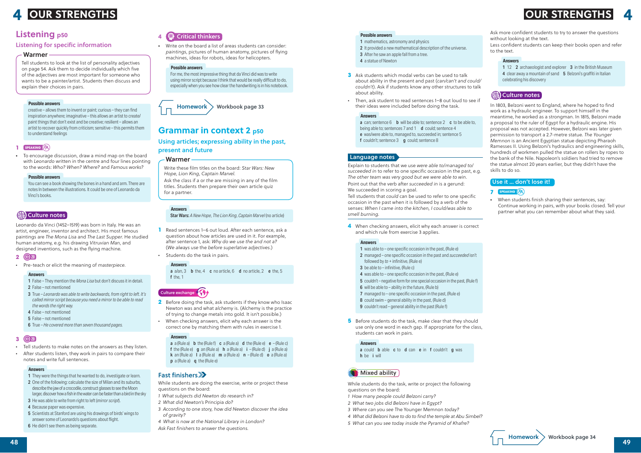Ask more confident students to try to answer the questions without looking at the text.

Less confident students can keep their books open and refer to the text.

- 1 12 2 archaeologist and explorer 3 in the British Museum
- 4 clear away a mountain of sand 5 Belzoni's graffiti in Italian celebrating his discovery

#### (编) Culture notes

#### **Answers**

In 1803, Belzoni went to England, where he hoped to find work as a hydraulic engineer. To support himself in the meantime, he worked as a strongman. In 1815, Belzoni made a proposal to the ruler of Egypt for a hydraulic engine. His proposal was not accepted. However, Belzoni was later given permission to transport a 2.7-metre statue. *The Younger Memnon* is an Ancient Egyptian statue depicting Pharaoh Ramesses II. Using Belzoni's hydraulics and engineering skills, hundreds of workmen pulled the statue on rollers by ropes to the bank of the Nile. Napoleon's soldiers had tried to remove the statue almost 20 years earlier, but they didn't have the skills to do so.

- 1 mathematics, astronomy and physics
- 2 It provided a new mathematical description of the universe.
- 3 After he saw an apple fall from a tree.
- 4 a statue of Newton
- **3** Ask students which modal verbs can be used to talk about ability in the present and past (*can/can't and could/ couldn't*). Ask if students know any other structures to talk about ability.
- *•* Then, ask student to read sentences 1–8 out loud to see if their ideas were included before doing the task.

Explain to students that we use *were able to*/*managed to*/ *succeeded in* to refer to one specific occasion in the past, e.g. *The other team was very good but we were able to win*. Point out that the verb after *succeeded in* is a gerund: We succeeded in scoring a goal.

#### Use it … don't lose it!

#### **7 speaking**

*•* When students finish sharing their sentences, say: Continue working in pairs, with your books closed. Tell your partner what you can remember about what they said.

**4** When checking answers, elicit why each answer is correct and which rule from exercise 3 applies.

#### **Possible answers**

- 1 was able to one specific occasion in the past, (Rule e)
- 2 managed one specific occasion in the past and *succeeded* isn't followed by *to* + infinitive, (Rule e)
- 3 be able to infinitive, (Rule c)
- 4 was able to one specific occasion in the past, (Rule e)
- 5 couldn't negative form for one special occasion in the past, (Rule f)
- 6 will be able to ability in the future, (Rule b)
- 7 managed to one specific occasion in the past, (Rule e)
- 8 could swim general ability in the past, (Rule d)
- 9 couldn't read general ability in the past (Rule f)
- **5** Before students do the task, make clear that they should use only one word in each gap. If appropriate for the class, students can work in pairs.

#### **Answers**

**a** can; sentence  $6$  **b** will be able to; sentence  $2$  **c** to be able to, being able to; sentences 7 and 1 **d** could; sentence 4 e was/were able to, managed to, succeeded in; sentence 5 f couldn't; sentence 3 **g** could; sentence 8

Tell students that *could* can be used to refer to one specific occasion in the past when it is followed by a verb of the senses: *When I came into the kitchen, I could/was able to smell burning.*

#### Culture exchange  $\left\langle \left\langle \right\rangle _{i}\right\rangle$

#### **Answers**

#### **Answers**

a could **b** able **c** to **d** can **e** in **f** couldn't **g** was h be *i* will

### **Mixed ability**

While students do the task, write or project the following questions on the board:

- *1 How many people could Belzoni carry?*
- *2 What two jobs did Belzoni have in Egypt?*
- *3 Where can you see* The Younger Memnon *today?*
- *4 What did Belzoni have to do to find the temple at Abu Simbel?*
- *5 What can you see today inside the Pyramid of Khafre?*



#### Language notes

• Write on the board a list of areas students can consider: *paintings*, pictures of human anatomy, pictures of flying machines, ideas for robots, ideas for helicopters.

For me, the most impressive thing that da Vinci did was to write using mirror script because I think that would be really difficult to do, especially when you see how clear the handwriting is in his notebook.

#### **Possible answers**

## **4 LOUR STRENGTHS OUR STRENGTHS OUR STRENGTHS**

# **Grammar in context 2 p50**

#### Using articles; expressing ability in the past, present and future

Write these film titles on the board: *Star Wars: New Hope*, *Lion King*, *Captain Marvel.* Ask the class if *a* or *the* are missing in any of the film titles. Students then prepare their own article quiz for a partner.

#### Warmer

Star Wars: *A New Hope*, *The Lion King*, *Captain Marvel* (no article)

#### **Answers**

- **1** Read sentences 1–6 out loud. After each sentence, ask a question about how articles are used in it. For example, after sentence 1, ask: *Why do we use the and not a?*  (*We always use* the *before superlative adjectives*.)
- *•* Students do the task in pairs.

#### **Answers**

a  $a$ /an,  $3$  b the,  $4$  c no article,  $6$  d no article,  $2$  e the,  $5$ f the 1

- **2** Before doing the task, ask students if they know who Isaac Newton was and what *alchemy* is. (Alchemy is the practice of trying to change metals into gold. It isn't possible.)
- *•* When checking answers, elicit why each answer is the correct one by matching them with rules in exercise 1.

#### **Answers**

**a** a (Rule a) **b** the (Rule f) **c** a (Rule a) **d** the (Rule e) **e**  $-$  (Rule c) f the (Rule e)  $g$  an (Rule a)  $h$  a (Rule a)  $i - (Rule d) i a (Rule a)$ **k** an (Rule a)  $\bf{l}$  a (Rule a)  $\bf{m}$  a (Rule a)  $\bf{n}$  – (Rule d)  $\bf{o}$  a (Rule a) **p** a (Rule a) **q** the (Rule e)

## Fast finishers >>

While students are doing the exercise, write or project these questions on the board:

- *1 What subjects did Newton do research in?*
- *2 What did Newton's* Principia *do?*
- *3 According to one story, how did Newton discover the idea of gravity?*
- *4 What is now at the National Library in London?*
- *Ask Fast finishers to answer the questions.*

# **Listening p50**

#### Listening for specific information

Tell students to look at the list of personality adjectives on page 54. Ask them to decide individually which five of the adjectives are most important for someone who wants to be a painter/artist. Students then discuss and explain their choices in pairs.

#### Warmer

creative – allows them to invent or paint; curious – they can find inspiration anywhere; imaginative – this allows an artist to create/ paint things that don't exist and be creative; resilient – allows an artist to recover quickly from criticism; sensitive – this permits them to understand feelings

#### **Possible answers**

#### **1 speaking**

*•* To encourage discussion, draw a mind map on the board with *Leonardo* written in the centre and four lines pointing to the words: *Who? When? Where?* and *Famous works?*

You can see a book showing the bones in a hand and arm. There are notes In between the illustrations. It could be one of Leonardo da Vinci's books.

## (編) Culture notes

#### **Possible answers**

Leonardo da Vinci (1452–1519) was born in Italy. He was an artist, engineer, inventor and architect. His most famous paintings are *The Mona Lisa* and *The Last Supper.* He studied human anatomy, e.g. his drawing *Vitruvian Man*, and designed inventions, such as the flying machine*.*

#### **2 20**

*•* Pre-teach or elicit the meaning of *masterpiece.*

- 1 False They mention the *Mona Lisa* but don't discuss it in detail.
- 2 False not mentioned
- 3 True *Leonardo was able to write backwards, from right to left. It's called mirror script because you need a mirror to be able to read the words the right way.*
- 4 False not mentioned
- 5 False not mentioned
- 6 True *He covered more than seven thousand pages.*

#### **Answers**

#### **3 20**

- *•* Tell students to make notes on the answers as they listen.
- *•* After students listen, they work in pairs to compare their notes and write full sentences.

- 1 They were the things that he wanted to do, investigate or learn.
- 2 One of the following: calculate the size of Milan and its suburbs, describe the jaw of a crocodile, construct glasses to see the Moon larger, discover how a fish in the water can be faster than a bird in the sky
- 3 He was able to write from right to left (*mirror script*).
- 4 Because paper was expensive.
- 5 Scientists at Stanford are using his drawings of birds' wings to answer some of Leonardo's questions about flight.
- 6 He didn't see them as being separate.

## **4**  $\bigcirc$  Critical thinkers

#### **Answers**

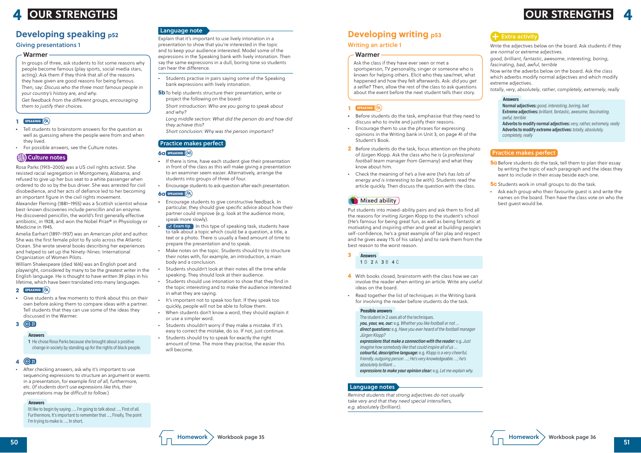

Write the adjectives below on the board. Ask students if they are *normal* or *extreme adjectives.*

*good*, *brilliant*, *fantastic*, *awesome*, *interesting*, *boring*, *fascinating*, *bad*, *awful*, *terrible*

Now write the adverbs below on the board. Ask the class which adverbs modify normal adjectives and which modify extreme adjectives.

*totally*, *very*, *absolutely*, *rather*, *completely*, *extremely*, *really*

**5a** Before students do the task, tell them to plan their essay by writing the topic of each paragraph and the ideas they want to include in their essay beside each one.

**5c** Students work in small groups to do the task.

Normal adjectives: *good, interesting, boring, bad* Extreme adjectives: *brilliant, fantastic, awesome, fascinating, awful, terrible*

Adverbs to modify normal adjectives:*very, rather, extremely, really* Adverbs to modify extreme adjectives: *totally, absolutely, completely, really*

#### **Answers**

#### Practice makes perfect

*•* Ask each group who their favourite guest is and write the names on the board. Then have the class vote on who the best guest would be.

# **Developing writing p53**

#### Writing an article 1

Ask the class if they have ever seen or met a sportsperson, TV personality, singer or someone who is known for helping others. Elicit who they saw/met, what happened and how they felt afterwards. Ask: *did you get a selfie?* Then, allow the rest of the class to ask questions about the event before the next student tells their story.

#### Warmer

#### **1 speaking**

- *•* Before students do the task, emphasise that they need to discuss who to invite and justify their reasons.
- *•* Encourage them to use the phrases for expressing opinions in the Writing bank in Unit 3, on page 41 of the Student's Book.
- **2** Before students do the task, focus attention on the photo of Jürgen Klopp. Ask the class who he is (*a professional football team manager from Germany*) and what they know about him.
- *•* Check the meaning of *he's a live wire* (*he's has lots of energy and is interesting to be with*). Students read the article quickly. Then discuss the question with the class.

# Mixed ability

Put students into mixed-ability pairs and ask them to find all the reasons for inviting Jürgen Klopp to the student's school (He's famous for being great fun, as well as being fantastic at motivating and inspiring other and great at building people's self-confidence, he's a great example of fair play and respect and he gives away 1% of his salary) and to rank them from the best reason to the worst reason.

#### 1 D 2 A 3 B 4 C **Answers**

- **4** With books closed, brainstorm with the class how we can involve the reader when writing an article. Write any useful ideas on the board.
- *•* Read together the list of techniques in the Writing bank for involving the reader before students do the task.

The student in 2 uses all of the techniques.

*you, your, we, our:* e.g. *Whether you like football or not … direct questions:* e.g. *Have you ever heard of the football manager Jürgen Klopp?*

*expressions that make a connection with the reader:* e.g. *Just imagine how somebody like that could inspire all of us … colourful, descriptive language:* e.g. *Klopp is a very cheerful, friendly, outgoing person …; He's very knowledgeable …; he's absolutely brilliant ...*

*expressions to make your opinion clear:* e.g. *Let me explain why.*

#### **Possible answers**

*Remind students that strong adjectives do not usually take very and that they need special intensifiers, e.g. absolutely (brilliant).*

**3**

#### Language notes

Explain that it's important to use lively intonation in a presentation to show that you're interested in the topic and to keep your audience interested. Model some of the expressions in the Speaking bank with lively intonation. Then say the same expressions in a dull, boring tone so students can hear the difference.

- *•* Students practise in pairs saying some of the Speaking bank expressions with lively intonation.
- **5b** To help students structure their presentation, write or project the following on the board:

*Short introduction: Who are you going to speak about and why?*

*Long middle section: What did the person do and how did they achieve this?*

*Short conclusion: Why was the person important?*

### Practice makes perfect

#### **6a speaking**

- *•* If there is time, have each student give their presentation in front of the class as this will make giving a presentation to an examiner seem easier. Alternatively, arrange the students into groups of three of four.
- *•* Encourage students to ask question after each presentation.

#### **6a speaking**

- *•* Encourage students to give constructive feedback. In particular, they should give specific advice about how their partner could improve (e.g. look at the audience more, speak more slowly).
- $\sigma$  Exam tip In this type of speaking task, students have to talk about a topic which could be a question, a title, a text or a photo. There is usually a fixed amount of time to prepare the presentation and to speak.
- *•* Make notes on the topic. Students should try to structure their notes with, for example, an introduction, a main body and a conclusion.
- *•* Students shouldn't look at their notes all the time while speaking. They should look at their audience.
- *•* Students should use intonation to show that they find in the topic interesting and to make the audience interested in what they are saying.
- *•* It's important not to speak too fast. If they speak too quickly, people will not be able to follow them.
- *•* When students don't know a word, they should explain it or use a simpler word.
- *•* Students shouldn't worry if they make a mistake. If it's easy to correct the mistake, do so. If not, just continue.
- *•* Students should try to speak for exactly the right amount of time. The more they practise, the easier this will become.

### Giving presentations 1

In groups of three, ask students to list some reasons why people become famous (play sports, social media stars, acting). Ask them if they think that all of the reasons they have given are good reasons for being famous. Then, say: *Discuss who the three most famous people in* 

*your country's history are, and why.*

*Get feedback from the different groups, encouraging them to justify their choices.*

#### Warmer

### **1 speaking**

- *•* Tell students to brainstorm answers for the question as well as guessing where the people were from and when they lived.
- *•* For possible answers, see the Culture notes.

## (编) Culture notes

Rosa Parks (1913–2005) was a US civil rights activist. She resisted racial segregation in Montgomery, Alabama, and refused to give up her bus seat to a white passenger when ordered to do so by the bus driver. She was arrested for civil disobedience, and her acts of defiance led to her becoming an important figure in the civil rights movement.

Alexander Fleming (1881–1955) was a Scottish scientist whose best-known discoveries include penicillin and an enzyme. He discovered penicillin, the world's first generally effective antibiotic, in 1928, and won the Nobel Prize® in Physiology or Medicine in 1945.

Amelia Earhart (1897–1937) was an American pilot and author. She was the first female pilot to fly solo across the Atlantic Ocean. She wrote several books describing her experiences and helped to set up the Ninety-Nines: International Organization of Women Pilots.

William Shakespeare (died 1616) was an English poet and playwright, considered by many to be the greatest writer in the English language. He is thought to have written 39 plays in his lifetime, which have been translated into many languages.

#### **2 speaking**

*•* Give students a few moments to think about this on their own before asking them to compare ideas with a partner. Tell students that they can use some of the ideas they discussed in the Warmer.

#### **3 21**

1 He chose Rosa Parks because she brought about a positive change in society by standing up for the rights of black people.

#### **Answers**

#### **4 21**

*•* After checking answers, ask why it's important to use sequencing expressions to structure an argument or events in a presentation, for example *first of all, furthermore*, etc. (*If students don't use expressions like this, their presentations may be difficult to follow*.)

I'd like to begin by saying …, I'm going to talk about …, First of all, Furthermore, It's important to remember that …, Finally, The point I'm trying to make is …, In short,

#### **Answers**

# **4 4 OUR STRENGTHS OUR STRENGTHS**

# **Developing speaking p52 Language note**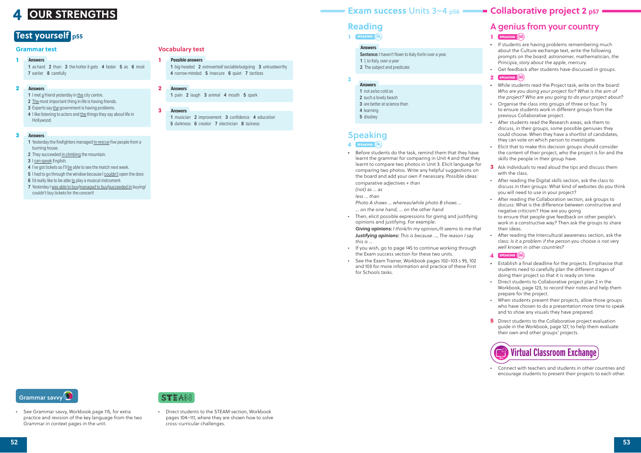# A genius from your country

## **1 SPEAKING**

- *•* If students are having problems remembering much about the Culture exchange text, write the following prompts on the board: *astronomer*, *mathematician*, *the Principia*, *story about the apple*, *mercury.*
- *•* Get feedback after students have discussed in groups. **2 speaking**
- *•* While students read the Project task, write on the board: *Who are you doing your project for? What is the aim of the project? Who are you going to do your project about?*
- *•* Organise the class into groups of three or four. Try to ensure students work in different groups from the previous Collaborative project.
- *•* After students read the Research areas, ask them to discuss, in their groups, some possible geniuses they could choose. When they have a shortlist of candidates, they can vote on which person to investigate.
- *•* Elicit that to make this decision groups should consider the content of their project, who the project is for and the skills the people in their group have.
- **3** Ask individuals to read aloud the tips and discuss them with the class.
- *•* After reading the Digital skills section, ask the class to discuss in their groups: What kind of websites do you think you will need to use in your project?
- *•* After reading the Collaboration section, ask groups to discuss: What is the difference between constructive and negative criticism? How are you going to ensure that people give feedback on other people's work in a constructive way? Then ask the groups to share their ideas.
- *•* After reading the Intercultural awareness section, ask the class: *Is it a problem if the person you choose is not very well known in other countries?*
- **4 speaking**
- *•* Establish a final deadline for the projects. Emphasise that students need to carefully plan the different stages of doing their project so that it is ready on time.
- *•* Direct students to Collaborative project plan 2 in the Workbook, page 123, to record their notes and help them prepare for the project.
- *•* When students present their projects, allow those groups who have chosen to do a presentation more time to speak and to show any visuals they have prepared.
- **5** Direct students to the Collaborative project evaluation guide in the Workbook, page 127, to help them evaluate their own and other groups' projects.

1 musician 2 improvement 3 confidence 4 education 5 darkness 6 creator 7 electrician 8 laziness

1 as hard 2 than 3 the hotter it gets 4 faster 5 as 6 most 7 earlier 8 carefully

- 1 I met a friend yesterday in the city centre.
- 2 The most important thing in life is having friends.
- 3 Experts say the government is having problems.
- 4 I like listening to actors and the things they say about life in Hollywood.

# **Virtual Classroom Exchange**

*•* Connect with teachers and students in other countries and encourage students to present their projects to each other.

# **Reading**

1 **SPEAKING** 

#### **Answers**

- Sentence: I haven't flown to Italy for/in over a year.
- 1 I, to Italy, over a year
- 2 The subject and predicate

**2**

- 1 not as/so cold as
- 2 such a lovely beach
- 3 are better at science than
- 4 learning
- 5 disobey

### **Answers**

# Speaking

- **4 speaking**
- *•* Before students do the task, remind them that they have learnt the grammar for comparing in Unit 4 and that they learnt to compare two photos in Unit 3. Elicit language for comparing two photos. Write any helpful suggestions on the board and add your own if necessary. Possible ideas: *comparative adjectives + than*
	- *(not) as … as*
	- *less … than*

*Photo A shows … whereas/while photo B shows …*

- *… on the one hand, … on the other hand*
- *•* Then, elicit possible expressions for giving and justifying opinions and justifying. For example:

Giving opinions: *I think/In my opinion,/It seems to me that Justifying opinions: This is because …, The reason I say this is …*

- *•* If you wish, go to page 145 to continue working through the Exam success section for these two units.
- *•* See the Exam Trainer, Workbook pages 102–103 s 95, 102 and 103 for more information and practice of these First for Schools tasks.

Grammar savvy

#### **Vocabulary test**

#### **Possible answers**

1 big-headed 2 extroverted/ sociable/outgoing 3 untrustworthy 4 narrow-minded 5 insecure 6 quiet 7 tactless

#### **Answers 2**

#### **Answers**

**1**

**3**

1 pain 2 laugh 3 animal 4 mouth 5 spark

#### **Grammar test**

#### **Answers 1**

- 1 Yesterday the firefighters managed to rescue five people from a burning house.
- 2 They succeeded in climbing the mountain.
- 3 I can speak English.
- 4 I've got tickets so I'll be able to see the match next week.
- 5 I had to go through the window because I couldn't open the door.
- 6 I'd really like to be able to play a musical instrument.
- 7 Yesterday I was able to buy/managed to buy/succeeded in buying/ couldn't buy tickets for the concert!

#### **Answers 2**

#### **Answers 3**

• See Grammar savvy, Workbook page 115, for extra practice and revision of the key language from the two *Grammar in context* pages in the unit.



# **Test yourself p55**

• Direct students to the STEAM section, Workbook pages 104–111, where they are shown how to solve cross-curricular challenges.

# **4**

# **OUR STRENGTHS Exam success Units 3–4 p56 <b>Collaborative project 2 p57**